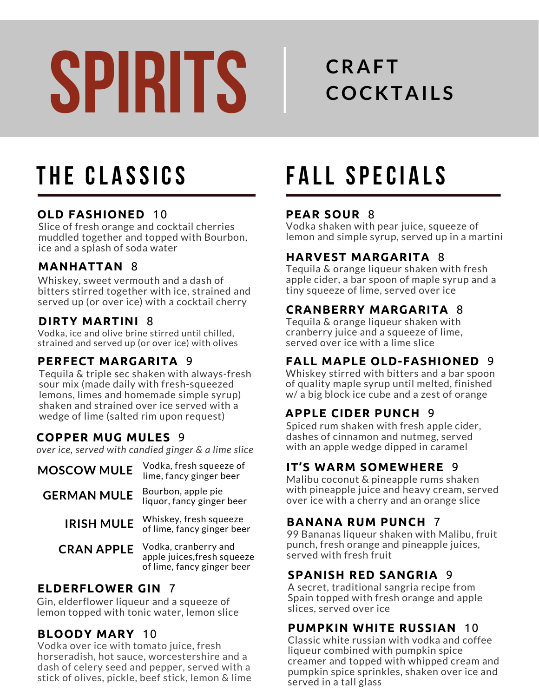# **SPIRITS**

# **CRAFT COCKTAI L S**

#### **OLD FASHIONED** 10

Slice of fresh orange and cocktail cherries muddled together and topped with Bourbon, ice and a splash of soda water

#### **MANHATTAN** 8

Whiskey, sweet vermouth and a dash of bitters stirred together with ice, strained and served up (or over ice) with a cocktail cherry

#### **DIRTY MARTINI** 8

Vodka, ice and olive brine stirred until chilled, strained and served up (or over ice) with olives

#### **PERFECT MARGARITA** 9

Tequila & triple sec shaken with always-fresh sour mix (made daily with fresh-squeezed lemons, limes and homemade simple syrup) shaken and strained over ice served with a wedge of lime (salted rim upon request)

#### **COPPER MUG MULES** 9

*over ice, served with candied ginger & a lime slice*

| <b>MOSCOW MULE</b> | Vodka, fresh squeeze of<br>lime, fancy ginger beer                                |
|--------------------|-----------------------------------------------------------------------------------|
| <b>GERMAN MULE</b> | Bourbon, apple pie<br>liquor, fancy ginger beer                                   |
| <b>IRISH MULE</b>  | Whiskey, fresh squeeze<br>of lime, fancy ginger beer                              |
| <b>CRAN APPLE</b>  | Vodka, cranberry and<br>apple juices, fresh squeeze<br>of lime, fancy ginger beer |

#### **ELDERFLOWER GIN** 7

Gin, elderflower liqueur and a squeeze of lemon topped with tonic water, lemon slice

#### **BLOODY MARY** 10

Vodka over ice with tomato juice, fresh horseradish, hot sauce, worcestershire and a dash of celery seed and pepper, served with a stick of olives, pickle, beef stick, lemon & lime

# **T H E CL A SSICS F A LL SPECI A LS**

#### **PEAR SOUR** 8

Vodka shaken with pear juice, squeeze of lemon and simple syrup, served up in a martini

#### **HARVEST MARGARITA** 8

Tequila & orange liqueur shaken with fresh apple cider, a bar spoon of maple syrup and a tiny squeeze of lime, served over ice

#### **CRANBERRY MARGARITA** 8

Tequila & orange liqueur shaken with cranberry juice and a squeeze of lime, served over ice with a lime slice

#### **FALL MAPLE OLD-FASHIONED** 9

Whiskey stirred with bitters and a bar spoon of quality maple syrup until melted, finished w/ a big block ice cube and a zest of orange

#### **APPLE CIDER PUNCH** 9

Spiced rum shaken with fresh apple cider, dashes of cinnamon and nutmeg, served with an apple wedge dipped in caramel

#### **IT'S WARM SOMEWHERE** 9

Malibu coconut & pineapple rums shaken with pineapple juice and heavy cream, served over ice with a cherry and an orange slice

#### **BANANA RUM PUNCH** 7

99 Bananas liqueur shaken with Malibu, fruit punch, fresh orange and pineapple juices, served with fresh fruit

#### **SPANISH RED SANGRIA** 9

A secret, traditional sangria recipe from Spain topped with fresh orange and apple slices, served over ice

#### **PUMPKIN WHITE RUSSIAN** 10

Classic white russian with vodka and coffee liqueur combined with pumpkin spice creamer and topped with whipped cream and pumpkin spice sprinkles, shaken over ice and served in a tall glass